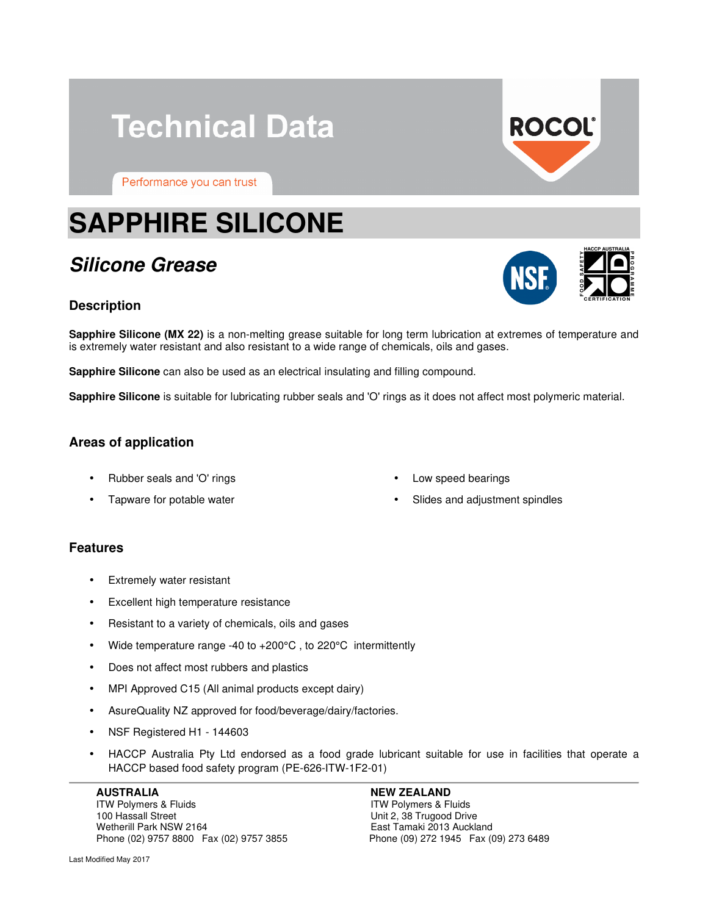## **Technical Data**

Performance you can trust

# **SAPPHIRE SILICONE**

### **Silicone Grease**

#### **Description**

**Sapphire Silicone (MX 22)** is a non-melting grease suitable for long term lubrication at extremes of temperature and is extremely water resistant and also resistant to a wide range of chemicals, oils and gases.

**Sapphire Silicone** can also be used as an electrical insulating and filling compound.

**Sapphire Silicone** is suitable for lubricating rubber seals and 'O' rings as it does not affect most polymeric material.

#### **Areas of application**

- Rubber seals and 'O' rings
- Tapware for potable water
- Low speed bearings
- Slides and adjustment spindles

#### **Features**

- Extremely water resistant
- Excellent high temperature resistance
- Resistant to a variety of chemicals, oils and gases
- Wide temperature range -40 to +200°C , to 220°C intermittently
- Does not affect most rubbers and plastics
- MPI Approved C15 (All animal products except dairy)
- AsureQuality NZ approved for food/beverage/dairy/factories.
- NSF Registered H1 144603
- HACCP Australia Pty Ltd endorsed as a food grade lubricant suitable for use in facilities that operate a HACCP based food safety program (PE-626-ITW-1F2-01)

ITW Polymers & Fluids ITW Polymers & Fluids 100 Hassall Street 100 Hassall Street Unit 2, 38 Trugood Drive<br>
Wetherill Park NSW 2164 1999 1999 March 2013 Auckla Phone (02) 9757 8800 Fax (02) 9757 3855

#### AUSTRALIA **NEW ZEALAND**

East Tamaki 2013 Auckland<br>Phone (09) 272 1945 Fax (09) 273 6489